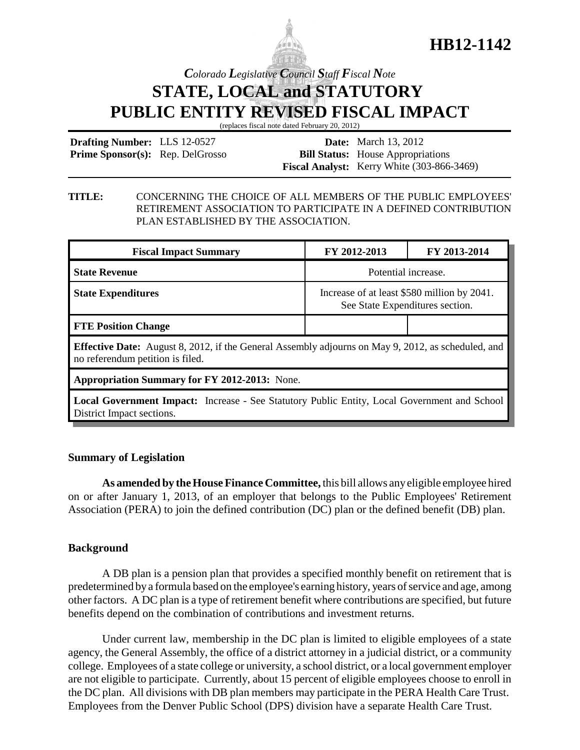

## **HB12-1142**

## *Colorado Legislative Council Staff Fiscal Note* **STATE, LOCAL and STATUTORY PUBLIC ENTITY REVISED FISCAL IMPACT**

(replaces fiscal note dated February 20, 2012)

| <b>Drafting Number:</b> LLS 12-0527     |  | <b>Date:</b> March 13, 2012                       |
|-----------------------------------------|--|---------------------------------------------------|
| <b>Prime Sponsor(s):</b> Rep. DelGrosso |  | <b>Bill Status:</b> House Appropriations          |
|                                         |  | <b>Fiscal Analyst:</b> Kerry White (303-866-3469) |

#### **TITLE:** CONCERNING THE CHOICE OF ALL MEMBERS OF THE PUBLIC EMPLOYEES' RETIREMENT ASSOCIATION TO PARTICIPATE IN A DEFINED CONTRIBUTION PLAN ESTABLISHED BY THE ASSOCIATION.

| <b>Fiscal Impact Summary</b>                                                                                                                  | FY 2012-2013                                                                   | FY 2013-2014 |  |  |
|-----------------------------------------------------------------------------------------------------------------------------------------------|--------------------------------------------------------------------------------|--------------|--|--|
| <b>State Revenue</b>                                                                                                                          | Potential increase.                                                            |              |  |  |
| <b>State Expenditures</b>                                                                                                                     | Increase of at least \$580 million by 2041.<br>See State Expenditures section. |              |  |  |
| <b>FTE Position Change</b>                                                                                                                    |                                                                                |              |  |  |
| <b>Effective Date:</b> August 8, 2012, if the General Assembly adjourns on May 9, 2012, as scheduled, and<br>no referendum petition is filed. |                                                                                |              |  |  |
| <b>Appropriation Summary for FY 2012-2013:</b> None.                                                                                          |                                                                                |              |  |  |
| <b>Local Government Impact:</b> Increase - See Statutory Public Entity, Local Government and School<br>District Impact sections.              |                                                                                |              |  |  |

#### **Summary of Legislation**

**As amended by the House Finance Committee,** this bill allows any eligible employee hired on or after January 1, 2013, of an employer that belongs to the Public Employees' Retirement Association (PERA) to join the defined contribution (DC) plan or the defined benefit (DB) plan.

#### **Background**

A DB plan is a pension plan that provides a specified monthly benefit on retirement that is predetermined by a formula based on the employee's earning history, years of service and age, among other factors. A DC plan is a type of retirement benefit where contributions are specified, but future benefits depend on the combination of contributions and investment returns.

Under current law, membership in the DC plan is limited to eligible employees of a state agency, the General Assembly, the office of a district attorney in a judicial district, or a community college. Employees of a state college or university, a school district, or a local government employer are not eligible to participate. Currently, about 15 percent of eligible employees choose to enroll in the DC plan. All divisions with DB plan members may participate in the PERA Health Care Trust. Employees from the Denver Public School (DPS) division have a separate Health Care Trust.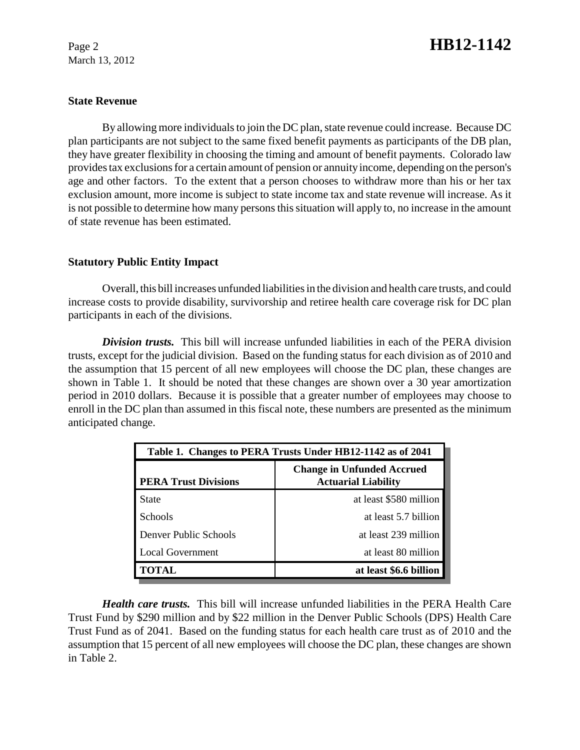March 13, 2012

# Page 2 **HB12-1142**

#### **State Revenue**

By allowing more individuals to join the DC plan, state revenue could increase. Because DC plan participants are not subject to the same fixed benefit payments as participants of the DB plan, they have greater flexibility in choosing the timing and amount of benefit payments. Colorado law provides tax exclusions for a certain amount of pension or annuity income, depending on the person's age and other factors. To the extent that a person chooses to withdraw more than his or her tax exclusion amount, more income is subject to state income tax and state revenue will increase. As it is not possible to determine how many persons this situation will apply to, no increase in the amount of state revenue has been estimated.

#### **Statutory Public Entity Impact**

Overall, this bill increases unfunded liabilities in the division and health care trusts, and could increase costs to provide disability, survivorship and retiree health care coverage risk for DC plan participants in each of the divisions.

*Division trusts.* This bill will increase unfunded liabilities in each of the PERA division trusts, except for the judicial division. Based on the funding status for each division as of 2010 and the assumption that 15 percent of all new employees will choose the DC plan, these changes are shown in Table 1. It should be noted that these changes are shown over a 30 year amortization period in 2010 dollars. Because it is possible that a greater number of employees may choose to enroll in the DC plan than assumed in this fiscal note, these numbers are presented as the minimum anticipated change.

| Table 1. Changes to PERA Trusts Under HB12-1142 as of 2041 |                                                                 |  |  |
|------------------------------------------------------------|-----------------------------------------------------------------|--|--|
| <b>PERA Trust Divisions</b>                                | <b>Change in Unfunded Accrued</b><br><b>Actuarial Liability</b> |  |  |
| State                                                      | at least \$580 million                                          |  |  |
| <b>Schools</b>                                             | at least 5.7 billion                                            |  |  |
| Denver Public Schools                                      | at least 239 million                                            |  |  |
| Local Government                                           | at least 80 million                                             |  |  |
| <b>TOTAL</b>                                               | at least \$6.6 billion                                          |  |  |

*Health care trusts.* This bill will increase unfunded liabilities in the PERA Health Care Trust Fund by \$290 million and by \$22 million in the Denver Public Schools (DPS) Health Care Trust Fund as of 2041. Based on the funding status for each health care trust as of 2010 and the assumption that 15 percent of all new employees will choose the DC plan, these changes are shown in Table 2.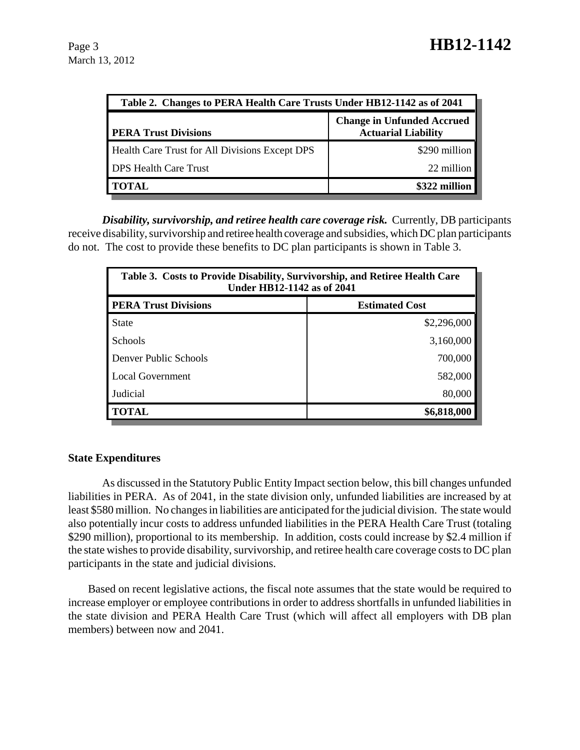| Table 2. Changes to PERA Health Care Trusts Under HB12-1142 as of 2041 |                                                                 |  |  |
|------------------------------------------------------------------------|-----------------------------------------------------------------|--|--|
| <b>PERA Trust Divisions</b>                                            | <b>Change in Unfunded Accrued</b><br><b>Actuarial Liability</b> |  |  |
| Health Care Trust for All Divisions Except DPS                         | \$290 million                                                   |  |  |
| <b>DPS Health Care Trust</b>                                           | 22 million                                                      |  |  |
| <b>TOTAL</b>                                                           | \$322 million                                                   |  |  |

*Disability, survivorship, and retiree health care coverage risk.* Currently, DB participants receive disability, survivorship and retiree health coverage and subsidies, which DC plan participants do not. The cost to provide these benefits to DC plan participants is shown in Table 3.

| Table 3. Costs to Provide Disability, Survivorship, and Retiree Health Care<br><b>Under HB12-1142 as of 2041</b> |                       |  |
|------------------------------------------------------------------------------------------------------------------|-----------------------|--|
| <b>PERA Trust Divisions</b>                                                                                      | <b>Estimated Cost</b> |  |
| <b>State</b>                                                                                                     | \$2,296,000           |  |
| <b>Schools</b>                                                                                                   | 3,160,000             |  |
| Denver Public Schools                                                                                            | 700,000               |  |
| Local Government                                                                                                 | 582,000               |  |
| Judicial                                                                                                         | 80,000                |  |
| <b>TOTAL</b>                                                                                                     | \$6,818,000           |  |

### **State Expenditures**

As discussed in the Statutory Public Entity Impact section below, this bill changes unfunded liabilities in PERA. As of 2041, in the state division only, unfunded liabilities are increased by at least \$580 million. No changes in liabilities are anticipated for the judicial division. The state would also potentially incur costs to address unfunded liabilities in the PERA Health Care Trust (totaling \$290 million), proportional to its membership. In addition, costs could increase by \$2.4 million if the state wishes to provide disability, survivorship, and retiree health care coverage costs to DC plan participants in the state and judicial divisions.

Based on recent legislative actions, the fiscal note assumes that the state would be required to increase employer or employee contributions in order to address shortfalls in unfunded liabilities in the state division and PERA Health Care Trust (which will affect all employers with DB plan members) between now and 2041.